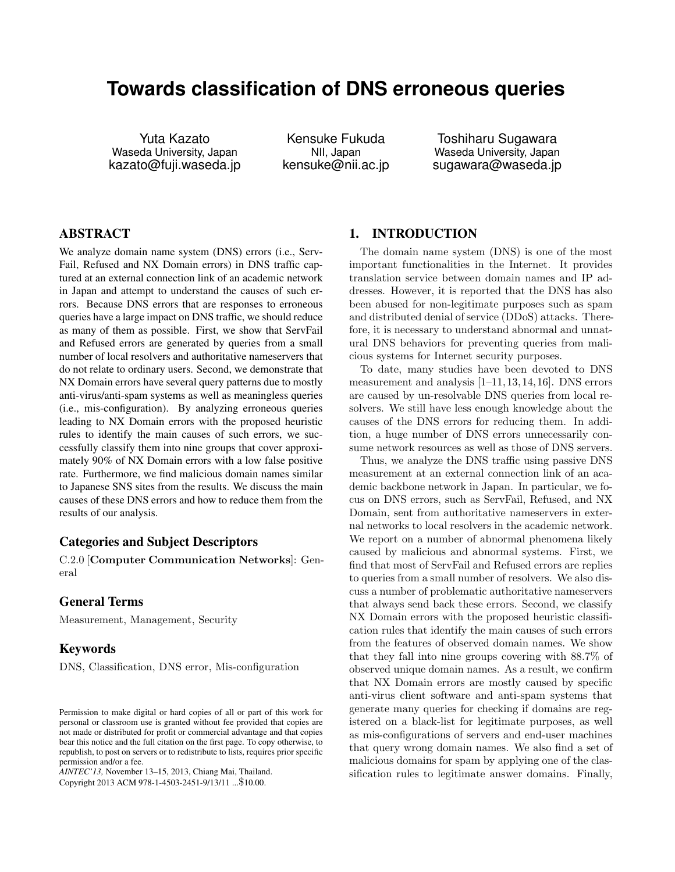# **Towards classification of DNS erroneous queries**

Yuta Kazato Waseda University, Japan kazato@fuji.waseda.jp

Kensuke Fukuda NII, Japan kensuke@nii.ac.jp

Toshiharu Sugawara Waseda University, Japan sugawara@waseda.jp

## ABSTRACT

We analyze domain name system (DNS) errors (i.e., Serv-Fail, Refused and NX Domain errors) in DNS traffic captured at an external connection link of an academic network in Japan and attempt to understand the causes of such errors. Because DNS errors that are responses to erroneous queries have a large impact on DNS traffic, we should reduce as many of them as possible. First, we show that ServFail and Refused errors are generated by queries from a small number of local resolvers and authoritative nameservers that do not relate to ordinary users. Second, we demonstrate that NX Domain errors have several query patterns due to mostly anti-virus/anti-spam systems as well as meaningless queries (i.e., mis-configuration). By analyzing erroneous queries leading to NX Domain errors with the proposed heuristic rules to identify the main causes of such errors, we successfully classify them into nine groups that cover approximately 90% of NX Domain errors with a low false positive rate. Furthermore, we find malicious domain names similar to Japanese SNS sites from the results. We discuss the main causes of these DNS errors and how to reduce them from the results of our analysis.

# Categories and Subject Descriptors

C.2.0 [**Computer Communication Networks**]: General

#### General Terms

Measurement, Management, Security

#### Keywords

DNS, Classification, DNS error, Mis-configuration

*AINTEC'13,* November 13–15, 2013, Chiang Mai, Thailand.

Copyright 2013 ACM 978-1-4503-2451-9/13/11 ...\$10.00.

# 1. INTRODUCTION

The domain name system (DNS) is one of the most important functionalities in the Internet. It provides translation service between domain names and IP addresses. However, it is reported that the DNS has also been abused for non-legitimate purposes such as spam and distributed denial of service (DDoS) attacks. Therefore, it is necessary to understand abnormal and unnatural DNS behaviors for preventing queries from malicious systems for Internet security purposes.

To date, many studies have been devoted to DNS measurement and analysis [1–11, 13, 14, 16]. DNS errors are caused by un-resolvable DNS queries from local resolvers. We still have less enough knowledge about the causes of the DNS errors for reducing them. In addition, a huge number of DNS errors unnecessarily consume network resources as well as those of DNS servers.

Thus, we analyze the DNS traffic using passive DNS measurement at an external connection link of an academic backbone network in Japan. In particular, we focus on DNS errors, such as ServFail, Refused, and NX Domain, sent from authoritative nameservers in external networks to local resolvers in the academic network. We report on a number of abnormal phenomena likely caused by malicious and abnormal systems. First, we find that most of ServFail and Refused errors are replies to queries from a small number of resolvers. We also discuss a number of problematic authoritative nameservers that always send back these errors. Second, we classify NX Domain errors with the proposed heuristic classification rules that identify the main causes of such errors from the features of observed domain names. We show that they fall into nine groups covering with 88.7% of observed unique domain names. As a result, we confirm that NX Domain errors are mostly caused by specific anti-virus client software and anti-spam systems that generate many queries for checking if domains are registered on a black-list for legitimate purposes, as well as mis-configurations of servers and end-user machines that query wrong domain names. We also find a set of malicious domains for spam by applying one of the classification rules to legitimate answer domains. Finally,

Permission to make digital or hard copies of all or part of this work for personal or classroom use is granted without fee provided that copies are not made or distributed for profit or commercial advantage and that copies bear this notice and the full citation on the first page. To copy otherwise, to republish, to post on servers or to redistribute to lists, requires prior specific permission and/or a fee.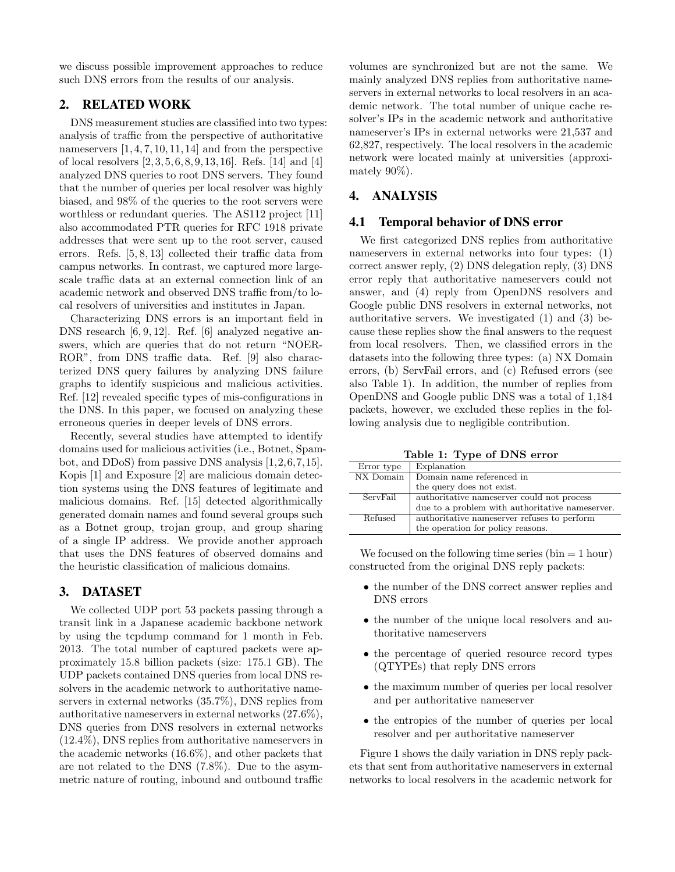we discuss possible improvement approaches to reduce such DNS errors from the results of our analysis.

# 2. RELATED WORK

DNS measurement studies are classified into two types: analysis of traffic from the perspective of authoritative names ervers  $[1, 4, 7, 10, 11, 14]$  and from the perspective of local resolvers [2, 3, 5, 6, 8, 9, 13, 16]. Refs. [14] and [4] analyzed DNS queries to root DNS servers. They found that the number of queries per local resolver was highly biased, and 98% of the queries to the root servers were worthless or redundant queries. The AS112 project [11] also accommodated PTR queries for RFC 1918 private addresses that were sent up to the root server, caused errors. Refs. [5, 8, 13] collected their traffic data from campus networks. In contrast, we captured more largescale traffic data at an external connection link of an academic network and observed DNS traffic from/to local resolvers of universities and institutes in Japan.

Characterizing DNS errors is an important field in DNS research [6, 9, 12]. Ref. [6] analyzed negative answers, which are queries that do not return "NOER-ROR", from DNS traffic data. Ref. [9] also characterized DNS query failures by analyzing DNS failure graphs to identify suspicious and malicious activities. Ref. [12] revealed specific types of mis-configurations in the DNS. In this paper, we focused on analyzing these erroneous queries in deeper levels of DNS errors.

Recently, several studies have attempted to identify domains used for malicious activities (i.e., Botnet, Spambot, and DDoS) from passive DNS analysis [1,2,6,7,15]. Kopis [1] and Exposure [2] are malicious domain detection systems using the DNS features of legitimate and malicious domains. Ref. [15] detected algorithmically generated domain names and found several groups such as a Botnet group, trojan group, and group sharing of a single IP address. We provide another approach that uses the DNS features of observed domains and the heuristic classification of malicious domains.

#### 3. DATASET

We collected UDP port 53 packets passing through a transit link in a Japanese academic backbone network by using the tcpdump command for 1 month in Feb. 2013. The total number of captured packets were approximately 15.8 billion packets (size: 175.1 GB). The UDP packets contained DNS queries from local DNS resolvers in the academic network to authoritative nameservers in external networks (35.7%), DNS replies from authoritative nameservers in external networks (27.6%), DNS queries from DNS resolvers in external networks (12.4%), DNS replies from authoritative nameservers in the academic networks (16.6%), and other packets that are not related to the DNS (7.8%). Due to the asymmetric nature of routing, inbound and outbound traffic

volumes are synchronized but are not the same. We mainly analyzed DNS replies from authoritative nameservers in external networks to local resolvers in an academic network. The total number of unique cache resolver's IPs in the academic network and authoritative nameserver's IPs in external networks were 21,537 and 62,827, respectively. The local resolvers in the academic network were located mainly at universities (approximately 90%).

# 4. ANALYSIS

### 4.1 Temporal behavior of DNS error

We first categorized DNS replies from authoritative nameservers in external networks into four types: (1) correct answer reply, (2) DNS delegation reply, (3) DNS error reply that authoritative nameservers could not answer, and (4) reply from OpenDNS resolvers and Google public DNS resolvers in external networks, not authoritative servers. We investigated (1) and (3) because these replies show the final answers to the request from local resolvers. Then, we classified errors in the datasets into the following three types: (a) NX Domain errors, (b) ServFail errors, and (c) Refused errors (see also Table 1). In addition, the number of replies from OpenDNS and Google public DNS was a total of 1,184 packets, however, we excluded these replies in the following analysis due to negligible contribution.

**Table 1: Type of DNS error**

| Error type | Explanation                                     |  |  |
|------------|-------------------------------------------------|--|--|
| NX Domain  | Domain name referenced in                       |  |  |
|            | the query does not exist.                       |  |  |
| ServFail   | authoritative names erver could not process     |  |  |
|            | due to a problem with authoritative nameserver. |  |  |
| Refused    | authoritative names erver refuses to perform    |  |  |
|            | the operation for policy reasons.               |  |  |

We focused on the following time series  $(bin = 1 hour)$ constructed from the original DNS reply packets:

- *•* the number of the DNS correct answer replies and DNS errors
- the number of the unique local resolvers and authoritative nameservers
- the percentage of queried resource record types (QTYPEs) that reply DNS errors
- the maximum number of queries per local resolver and per authoritative nameserver
- the entropies of the number of queries per local resolver and per authoritative nameserver

Figure 1 shows the daily variation in DNS reply packets that sent from authoritative nameservers in external networks to local resolvers in the academic network for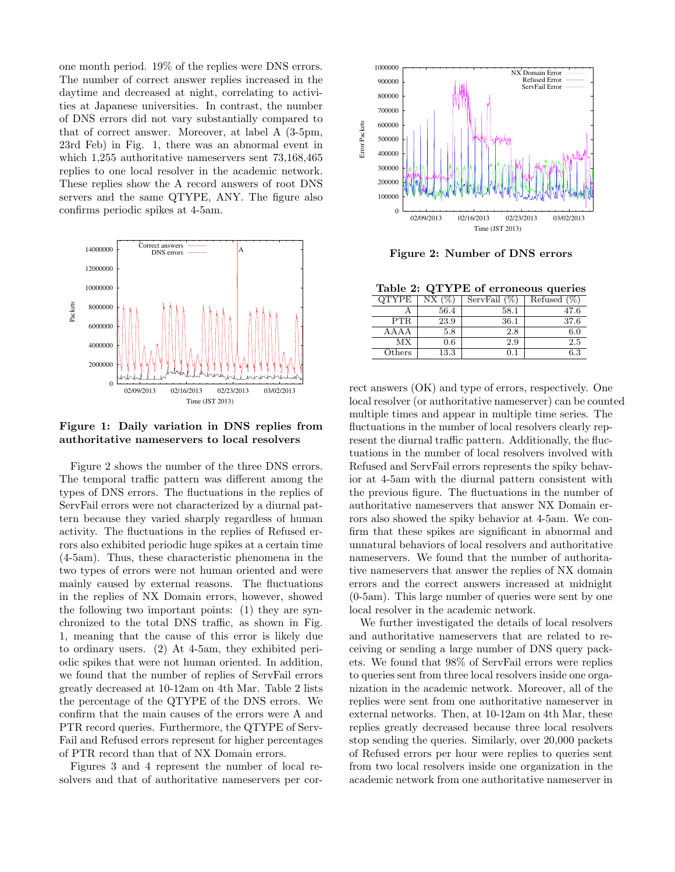one month period. 19% of the replies were DNS errors. The number of correct answer replies increased in the daytime and decreased at night, correlating to activities at Japanese universities. In contrast, the number of DNS errors did not vary substantially compared to that of correct answer. Moreover, at label A (3-5pm, 23rd Feb) in Fig. 1, there was an abnormal event in which 1,255 authoritative nameservers sent 73,168,465 replies to one local resolver in the academic network. These replies show the A record answers of root DNS servers and the same QTYPE, ANY. The figure also confirms periodic spikes at 4-5am.



**Figure 1: Daily variation in DNS replies from authoritative nameservers to local resolvers**

Figure 2 shows the number of the three DNS errors. The temporal traffic pattern was different among the types of DNS errors. The fluctuations in the replies of ServFail errors were not characterized by a diurnal pattern because they varied sharply regardless of human activity. The fluctuations in the replies of Refused errors also exhibited periodic huge spikes at a certain time (4-5am). Thus, these characteristic phenomena in the two types of errors were not human oriented and were mainly caused by external reasons. The fluctuations in the replies of NX Domain errors, however, showed the following two important points: (1) they are synchronized to the total DNS traffic, as shown in Fig. 1, meaning that the cause of this error is likely due to ordinary users. (2) At 4-5am, they exhibited periodic spikes that were not human oriented. In addition, we found that the number of replies of ServFail errors greatly decreased at 10-12am on 4th Mar. Table 2 lists the percentage of the QTYPE of the DNS errors. We confirm that the main causes of the errors were A and PTR record queries. Furthermore, the QTYPE of Serv-Fail and Refused errors represent for higher percentages of PTR record than that of NX Domain errors. continues periodic spikes at 4-bam.<br>
some that of authoritative names of the correspondence of authoritative names and account of a method of authoritative names of authoritative names of authoritative names of authoritat

Figures 3 and 4 represent the number of local re-



**Figure 2: Number of DNS errors**

**Table 2: QTYPE of erroneous queries**

| <b>OTYPE</b> | (9)<br>NX. | ServFail $(\%)$ | Refused $(\%)$ |
|--------------|------------|-----------------|----------------|
|              | 56.4       | 58.1            | 47.6           |
| <b>PTR</b>   | 23.9       | 36.1            | 37.6           |
| AAAA         | 5.8        | 2.8             | 6.0            |
| МX           | 0.6        | 2.9             | 2.5            |
| Others       | 13.3       | 0.1             | 6.3            |

rect answers (OK) and type of errors, respectively. One local resolver (or authoritative nameserver) can be counted multiple times and appear in multiple time series. The fluctuations in the number of local resolvers clearly represent the diurnal traffic pattern. Additionally, the fluctuations in the number of local resolvers involved with Refused and ServFail errors represents the spiky behavior at 4-5am with the diurnal pattern consistent with the previous figure. The fluctuations in the number of authoritative nameservers that answer NX Domain errors also showed the spiky behavior at 4-5am. We confirm that these spikes are significant in abnormal and unnatural behaviors of local resolvers and authoritative nameservers. We found that the number of authoritative nameservers that answer the replies of NX domain errors and the correct answers increased at midnight (0-5am). This large number of queries were sent by one local resolver in the academic network.

We further investigated the details of local resolvers and authoritative nameservers that are related to receiving or sending a large number of DNS query packets. We found that 98% of ServFail errors were replies to queries sent from three local resolvers inside one organization in the academic network. Moreover, all of the replies were sent from one authoritative nameserver in external networks. Then, at 10-12am on 4th Mar, these replies greatly decreased because three local resolvers stop sending the queries. Similarly, over 20,000 packets of Refused errors per hour were replies to queries sent from two local resolvers inside one organization in the academic network from one authoritative nameserver in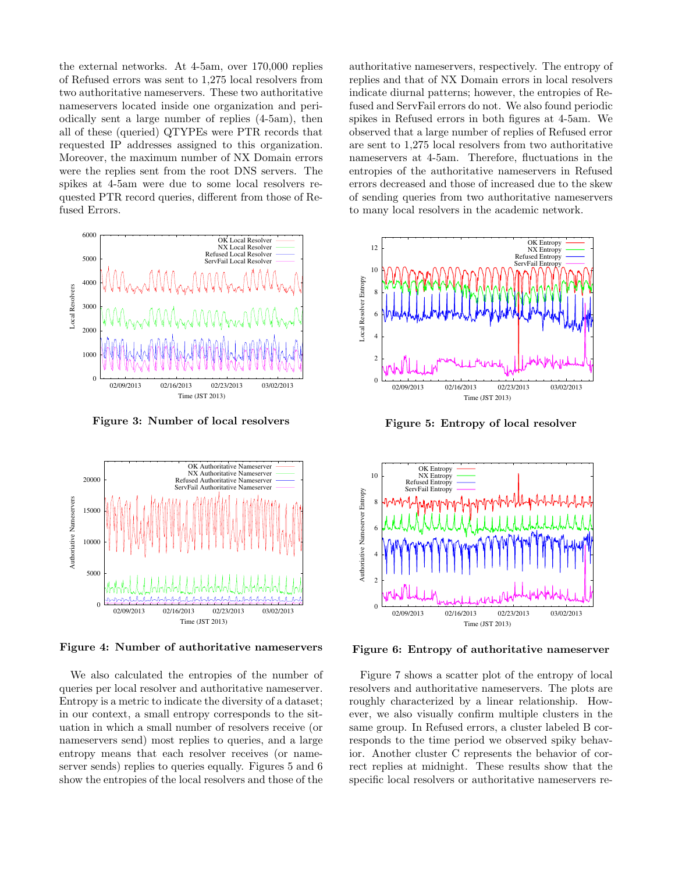the external networks. At 4-5am, over 170,000 replies of Refused errors was sent to 1,275 local resolvers from two authoritative nameservers. These two authoritative nameservers located inside one organization and periodically sent a large number of replies (4-5am), then all of these (queried) QTYPEs were PTR records that requested IP addresses assigned to this organization. Moreover, the maximum number of NX Domain errors were the replies sent from the root DNS servers. The spikes at 4-5am were due to some local resolvers requested PTR record queries, different from those of Refused Errors.



**Figure 3: Number of local resolvers**



**Figure 4: Number of authoritative nameservers**

We also calculated the entropies of the number of queries per local resolver and authoritative nameserver. Entropy is a metric to indicate the diversity of a dataset; in our context, a small entropy corresponds to the situation in which a small number of resolvers receive (or nameservers send) most replies to queries, and a large entropy means that each resolver receives (or nameserver sends) replies to queries equally. Figures 5 and 6 show the entropies of the local resolvers and those of the

authoritative nameservers, respectively. The entropy of replies and that of NX Domain errors in local resolvers indicate diurnal patterns; however, the entropies of Refused and ServFail errors do not. We also found periodic spikes in Refused errors in both figures at 4-5am. We observed that a large number of replies of Refused error are sent to 1,275 local resolvers from two authoritative nameservers at 4-5am. Therefore, fluctuations in the entropies of the authoritative nameservers in Refused errors decreased and those of increased due to the skew of sending queries from two authoritative nameservers to many local resolvers in the academic network.



**Figure 5: Entropy of local resolver**



**Figure 6: Entropy of authoritative nameserver**

Figure 7 shows a scatter plot of the entropy of local resolvers and authoritative nameservers. The plots are roughly characterized by a linear relationship. However, we also visually confirm multiple clusters in the same group. In Refused errors, a cluster labeled B corresponds to the time period we observed spiky behavior. Another cluster C represents the behavior of correct replies at midnight. These results show that the specific local resolvers or authoritative nameservers re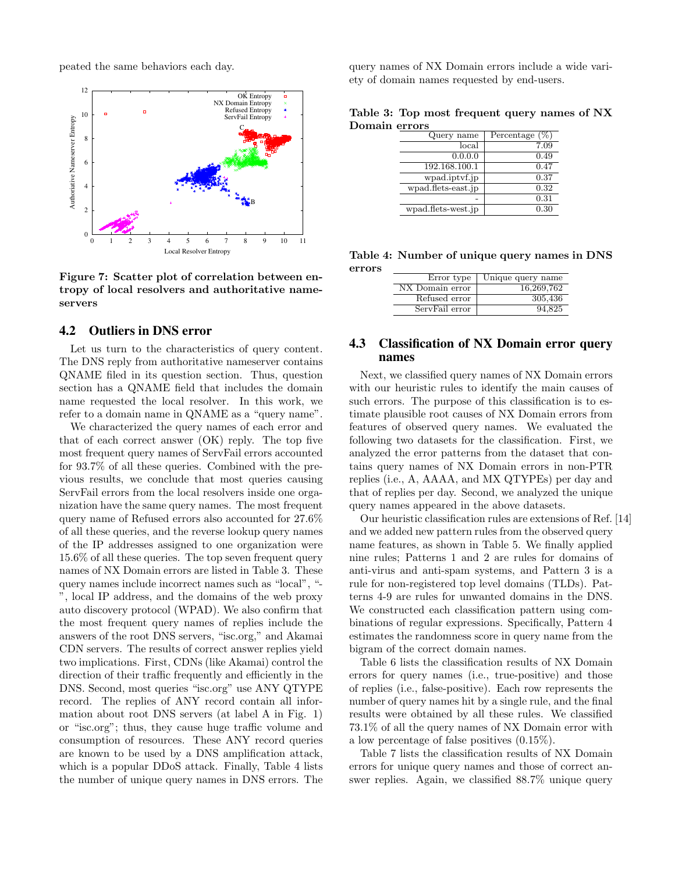peated the same behaviors each day.



**Figure 7: Scatter plot of correlation between entropy of local resolvers and authoritative nameservers**

#### 4.2 Outliers in DNS error

Let us turn to the characteristics of query content. The DNS reply from authoritative nameserver contains QNAME filed in its question section. Thus, question section has a QNAME field that includes the domain name requested the local resolver. In this work, we refer to a domain name in QNAME as a "query name".

We characterized the query names of each error and that of each correct answer (OK) reply. The top five most frequent query names of ServFail errors accounted for 93.7% of all these queries. Combined with the previous results, we conclude that most queries causing ServFail errors from the local resolvers inside one organization have the same query names. The most frequent query name of Refused errors also accounted for 27.6% of all these queries, and the reverse lookup query names of the IP addresses assigned to one organization were 15.6% of all these queries. The top seven frequent query names of NX Domain errors are listed in Table 3. These query names include incorrect names such as "local", "- ", local IP address, and the domains of the web proxy auto discovery protocol (WPAD). We also confirm that the most frequent query names of replies include the answers of the root DNS servers, "isc.org," and Akamai CDN servers. The results of correct answer replies yield two implications. First, CDNs (like Akamai) control the direction of their traffic frequently and efficiently in the DNS. Second, most queries "isc.org" use ANY QTYPE record. The replies of ANY record contain all information about root DNS servers (at label A in Fig. 1) or "isc.org"; thus, they cause huge traffic volume and consumption of resources. These ANY record queries are known to be used by a DNS amplification attack, which is a popular DDoS attack. Finally, Table 4 lists the number of unique query names in DNS errors. The

query names of NX Domain errors include a wide variety of domain names requested by end-users.

|               | Table 3: Top most frequent query names of NX |  |  |
|---------------|----------------------------------------------|--|--|
| Domain errors |                                              |  |  |

| Query name         | Percentage $(\%)$ |
|--------------------|-------------------|
| local              | 7.09              |
| 0.0.0.0            | 0.49              |
| 192.168.100.1      | 0.47              |
| wpad.iptvf.jp      | 0.37              |
| wpad.flets-east.jp | 0.32              |
|                    | 0.31              |
| wpad.flets-west.jp | 0.30              |

**Table 4: Number of unique query names in DNS errors**

| Error type      | Unique query name |
|-----------------|-------------------|
| NX Domain error | 16,269,762        |
| Refused error   | 305,436           |
| ServFail error  | 94.825            |

## 4.3 Classification of NX Domain error query names

Next, we classified query names of NX Domain errors with our heuristic rules to identify the main causes of such errors. The purpose of this classification is to estimate plausible root causes of NX Domain errors from features of observed query names. We evaluated the following two datasets for the classification. First, we analyzed the error patterns from the dataset that contains query names of NX Domain errors in non-PTR replies (i.e., A, AAAA, and MX QTYPEs) per day and that of replies per day. Second, we analyzed the unique query names appeared in the above datasets.

Our heuristic classification rules are extensions of Ref. [14] and we added new pattern rules from the observed query name features, as shown in Table 5. We finally applied nine rules; Patterns 1 and 2 are rules for domains of anti-virus and anti-spam systems, and Pattern 3 is a rule for non-registered top level domains (TLDs). Patterns 4-9 are rules for unwanted domains in the DNS. We constructed each classification pattern using combinations of regular expressions. Specifically, Pattern 4 estimates the randomness score in query name from the bigram of the correct domain names.

Table 6 lists the classification results of NX Domain errors for query names (i.e., true-positive) and those of replies (i.e., false-positive). Each row represents the number of query names hit by a single rule, and the final results were obtained by all these rules. We classified 73.1% of all the query names of NX Domain error with a low percentage of false positives (0.15%).

Table 7 lists the classification results of NX Domain errors for unique query names and those of correct answer replies. Again, we classified 88.7% unique query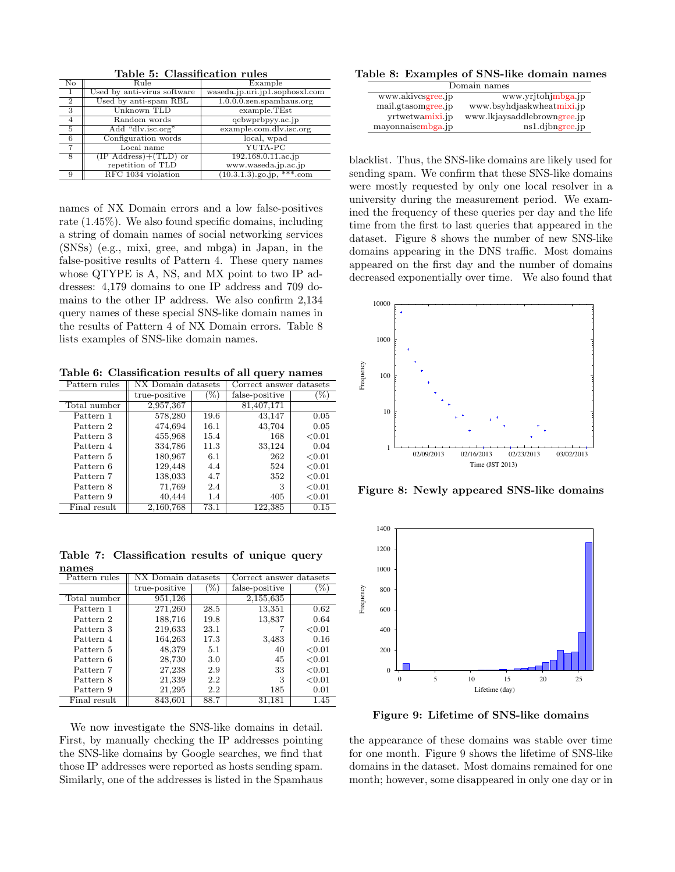| $\overline{\text{No}}$ | Rule                        | Example                        |  |  |  |
|------------------------|-----------------------------|--------------------------------|--|--|--|
| 1                      | Used by anti-virus software | waseda.jp.uri.jp1.sophosxl.com |  |  |  |
| $\overline{2}$         | Used by anti-spam RBL       | $1.0.0.0.$ zen.spamhaus.org    |  |  |  |
| 3                      | Unknown TLD                 | example.TEst                   |  |  |  |
| 4                      | Random words                | qebwprbpyy.ac.jp               |  |  |  |
| 5                      | Add "dlv.isc.org"           | example.com.dlv.isc.org        |  |  |  |
| 6                      | Configuration words         | local, wpad                    |  |  |  |
|                        | Local name                  | YUTA-PC                        |  |  |  |
| 8                      | $(IP Address)+(TLD)$ or     | 192.168.0.11.ac.jp             |  |  |  |
|                        | repetition of TLD           | www.waseda.jp.ac.jp            |  |  |  |
| 9                      | RFC 1034 violation          | $(10.3.1.3)$ .go.jp, ***.com   |  |  |  |

**Table 5: Classification rules**

names of NX Domain errors and a low false-positives rate (1.45%). We also found specific domains, including a string of domain names of social networking services (SNSs) (e.g., mixi, gree, and mbga) in Japan, in the false-positive results of Pattern 4. These query names whose QTYPE is A, NS, and MX point to two IP addresses: 4,179 domains to one IP address and 709 domains to the other IP address. We also confirm 2,134 query names of these special SNS-like domain names in the results of Pattern 4 of NX Domain errors. Table 8 lists examples of SNS-like domain names.

**Table 6: Classification results of all query names**

| Pattern rules | NX Domain datasets |        | Correct answer datasets |        |
|---------------|--------------------|--------|-------------------------|--------|
|               | true-positive      | $(\%)$ | false-positive          | $\%$   |
| Total number  | 2,957,367          |        | 81,407,171              |        |
| Pattern 1     | 578,280            | 19.6   | 43,147                  | 0.05   |
| Pattern 2     | 474,694            | 16.1   | 43,704                  | 0.05   |
| Pattern 3     | 455,968            | 15.4   | 168                     | < 0.01 |
| Pattern 4     | 334,786            | 11.3   | 33,124                  | 0.04   |
| Pattern 5     | 180,967            | 6.1    | 262                     | < 0.01 |
| Pattern 6     | 129,448            | 4.4    | 524                     | < 0.01 |
| Pattern 7     | 138,033            | 4.7    | 352                     | < 0.01 |
| Pattern 8     | 71,769             | 2.4    | 3                       | < 0.01 |
| Pattern 9     | 40,444             | 1.4    | 405                     | < 0.01 |
| Final result  | 2,160,768          | 73.1   | 122,385                 | 0.15   |

**Table 7: Classification results of unique query names**

| Pattern rules | NX Domain datasets |        | Correct answer datasets |           |
|---------------|--------------------|--------|-------------------------|-----------|
|               | true-positive      | $(\%)$ | false-positive          | $(\%)$    |
| Total number  | 951,126            |        | 2,155,635               |           |
| Pattern 1     | 271,260            | 28.5   | 13,351                  | 0.62      |
| Pattern 2     | 188,716            | 19.8   | 13,837                  | 0.64      |
| Pattern 3     | 219,633            | 23.1   |                         | < 0.01    |
| Pattern 4     | 164,263            | 17.3   | 3,483                   | 0.16      |
| Pattern 5     | 48,379             | 5.1    | 40                      | ${<}0.01$ |
| Pattern 6     | 28,730             | 3.0    | 45                      | ${<}0.01$ |
| Pattern 7     | 27,238             | 2.9    | 33                      | < 0.01    |
| Pattern 8     | 21,339             | 2.2    | 3                       | < 0.01    |
| Pattern 9     | 21,295             | 2.2    | 185                     | 0.01      |
| Final result  | 843.601            | 88.7   | 31.181                  | 1.45      |

We now investigate the SNS-like domains in detail. First, by manually checking the IP addresses pointing the SNS-like domains by Google searches, we find that those IP addresses were reported as hosts sending spam. Similarly, one of the addresses is listed in the Spamhaus

**Table 8: Examples of SNS-like domain names**

| Domain names                            |                             |  |
|-----------------------------------------|-----------------------------|--|
| www.akivcsgree.jp<br>www.yrjtohjmbga.jp |                             |  |
| mail.gtasomgree.jp                      | www.bsyhdjaskwheatmixi.jp   |  |
| yrtwetwamixi.jp                         | www.lkjaysaddlebrowngree.jp |  |
| mayonnaisembga.jp                       | $ns1$ .djbngree.jp          |  |

blacklist. Thus, the SNS-like domains are likely used for sending spam. We confirm that these SNS-like domains were mostly requested by only one local resolver in a university during the measurement period. We examined the frequency of these queries per day and the life time from the first to last queries that appeared in the dataset. Figure 8 shows the number of new SNS-like domains appearing in the DNS traffic. Most domains appeared on the first day and the number of domains decreased exponentially over time. We also found that



**Figure 8: Newly appeared SNS-like domains**



**Figure 9: Lifetime of SNS-like domains**

the appearance of these domains was stable over time for one month. Figure 9 shows the lifetime of SNS-like domains in the dataset. Most domains remained for one month; however, some disappeared in only one day or in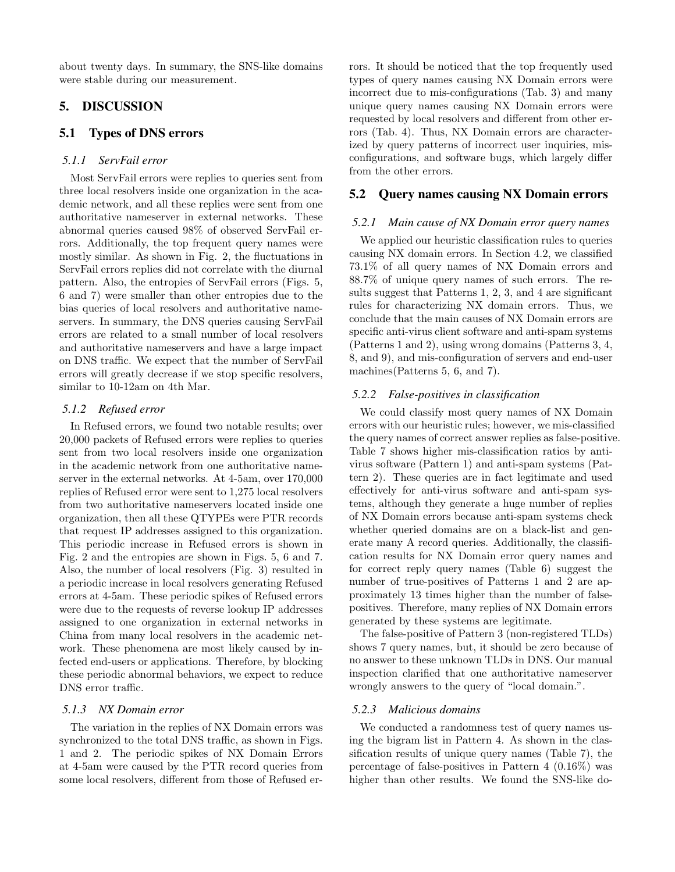about twenty days. In summary, the SNS-like domains were stable during our measurement.

# 5. DISCUSSION

# 5.1 Types of DNS errors

# *5.1.1 ServFail error*

Most ServFail errors were replies to queries sent from three local resolvers inside one organization in the academic network, and all these replies were sent from one authoritative nameserver in external networks. These abnormal queries caused 98% of observed ServFail errors. Additionally, the top frequent query names were mostly similar. As shown in Fig. 2, the fluctuations in ServFail errors replies did not correlate with the diurnal pattern. Also, the entropies of ServFail errors (Figs. 5, 6 and 7) were smaller than other entropies due to the bias queries of local resolvers and authoritative nameservers. In summary, the DNS queries causing ServFail errors are related to a small number of local resolvers and authoritative nameservers and have a large impact on DNS traffic. We expect that the number of ServFail errors will greatly decrease if we stop specific resolvers, similar to 10-12am on 4th Mar.

#### *5.1.2 Refused error*

In Refused errors, we found two notable results; over 20,000 packets of Refused errors were replies to queries sent from two local resolvers inside one organization in the academic network from one authoritative nameserver in the external networks. At 4-5am, over 170,000 replies of Refused error were sent to 1,275 local resolvers from two authoritative nameservers located inside one organization, then all these QTYPEs were PTR records that request IP addresses assigned to this organization. This periodic increase in Refused errors is shown in Fig. 2 and the entropies are shown in Figs. 5, 6 and 7. Also, the number of local resolvers (Fig. 3) resulted in a periodic increase in local resolvers generating Refused errors at 4-5am. These periodic spikes of Refused errors were due to the requests of reverse lookup IP addresses assigned to one organization in external networks in China from many local resolvers in the academic network. These phenomena are most likely caused by infected end-users or applications. Therefore, by blocking these periodic abnormal behaviors, we expect to reduce DNS error traffic.

# *5.1.3 NX Domain error*

The variation in the replies of NX Domain errors was synchronized to the total DNS traffic, as shown in Figs. 1 and 2. The periodic spikes of NX Domain Errors at 4-5am were caused by the PTR record queries from some local resolvers, different from those of Refused errors. It should be noticed that the top frequently used types of query names causing NX Domain errors were incorrect due to mis-configurations (Tab. 3) and many unique query names causing NX Domain errors were requested by local resolvers and different from other errors (Tab. 4). Thus, NX Domain errors are characterized by query patterns of incorrect user inquiries, misconfigurations, and software bugs, which largely differ from the other errors.

# 5.2 Query names causing NX Domain errors

#### *5.2.1 Main cause of NX Domain error query names*

We applied our heuristic classification rules to queries causing NX domain errors. In Section 4.2, we classified 73.1% of all query names of NX Domain errors and 88.7% of unique query names of such errors. The results suggest that Patterns 1, 2, 3, and 4 are significant rules for characterizing NX domain errors. Thus, we conclude that the main causes of NX Domain errors are specific anti-virus client software and anti-spam systems (Patterns 1 and 2), using wrong domains (Patterns 3, 4, 8, and 9), and mis-configuration of servers and end-user machines(Patterns 5, 6, and 7).

#### *5.2.2 False-positives in classification*

We could classify most query names of NX Domain errors with our heuristic rules; however, we mis-classified the query names of correct answer replies as false-positive. Table 7 shows higher mis-classification ratios by antivirus software (Pattern 1) and anti-spam systems (Pattern 2). These queries are in fact legitimate and used effectively for anti-virus software and anti-spam systems, although they generate a huge number of replies of NX Domain errors because anti-spam systems check whether queried domains are on a black-list and generate many A record queries. Additionally, the classification results for NX Domain error query names and for correct reply query names (Table 6) suggest the number of true-positives of Patterns 1 and 2 are approximately 13 times higher than the number of falsepositives. Therefore, many replies of NX Domain errors generated by these systems are legitimate.

The false-positive of Pattern 3 (non-registered TLDs) shows 7 query names, but, it should be zero because of no answer to these unknown TLDs in DNS. Our manual inspection clarified that one authoritative nameserver wrongly answers to the query of "local domain.".

#### *5.2.3 Malicious domains*

We conducted a randomness test of query names using the bigram list in Pattern 4. As shown in the classification results of unique query names (Table 7), the percentage of false-positives in Pattern 4 (0.16%) was higher than other results. We found the SNS-like do